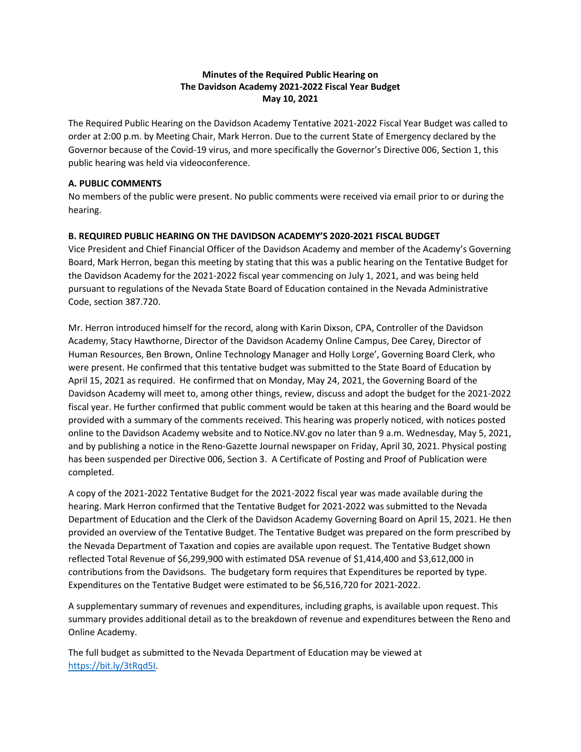## **Minutes of the Required Public Hearing on The Davidson Academy 2021-2022 Fiscal Year Budget May 10, 2021**

The Required Public Hearing on the Davidson Academy Tentative 2021-2022 Fiscal Year Budget was called to order at 2:00 p.m. by Meeting Chair, Mark Herron. Due to the current State of Emergency declared by the Governor because of the Covid-19 virus, and more specifically the Governor's Directive 006, Section 1, this public hearing was held via videoconference.

#### **A. PUBLIC COMMENTS**

No members of the public were present. No public comments were received via email prior to or during the hearing.

### **B. REQUIRED PUBLIC HEARING ON THE DAVIDSON ACADEMY'S 2020-2021 FISCAL BUDGET**

Vice President and Chief Financial Officer of the Davidson Academy and member of the Academy's Governing Board, Mark Herron, began this meeting by stating that this was a public hearing on the Tentative Budget for the Davidson Academy for the 2021-2022 fiscal year commencing on July 1, 2021, and was being held pursuant to regulations of the Nevada State Board of Education contained in the Nevada Administrative Code, section 387.720.

Mr. Herron introduced himself for the record, along with Karin Dixson, CPA, Controller of the Davidson Academy, Stacy Hawthorne, Director of the Davidson Academy Online Campus, Dee Carey, Director of Human Resources, Ben Brown, Online Technology Manager and Holly Lorge', Governing Board Clerk, who were present. He confirmed that this tentative budget was submitted to the State Board of Education by April 15, 2021 as required. He confirmed that on Monday, May 24, 2021, the Governing Board of the Davidson Academy will meet to, among other things, review, discuss and adopt the budget for the 2021-2022 fiscal year. He further confirmed that public comment would be taken at this hearing and the Board would be provided with a summary of the comments received. This hearing was properly noticed, with notices posted online to the Davidson Academy website and to Notice.NV.gov no later than 9 a.m. Wednesday, May 5, 2021, and by publishing a notice in the Reno-Gazette Journal newspaper on Friday, April 30, 2021. Physical posting has been suspended per Directive 006, Section 3. A Certificate of Posting and Proof of Publication were completed.

A copy of the 2021-2022 Tentative Budget for the 2021-2022 fiscal year was made available during the hearing. Mark Herron confirmed that the Tentative Budget for 2021-2022 was submitted to the Nevada Department of Education and the Clerk of the Davidson Academy Governing Board on April 15, 2021. He then provided an overview of the Tentative Budget. The Tentative Budget was prepared on the form prescribed by the Nevada Department of Taxation and copies are available upon request. The Tentative Budget shown reflected Total Revenue of \$6,299,900 with estimated DSA revenue of \$1,414,400 and \$3,612,000 in contributions from the Davidsons. The budgetary form requires that Expenditures be reported by type. Expenditures on the Tentative Budget were estimated to be \$6,516,720 for 2021-2022.

A supplementary summary of revenues and expenditures, including graphs, is available upon request. This summary provides additional detail as to the breakdown of revenue and expenditures between the Reno and Online Academy.

The full budget as submitted to the Nevada Department of Education may be viewed at [https://bit.ly/3tRqd5I.](https://bit.ly/3tRqd5I)